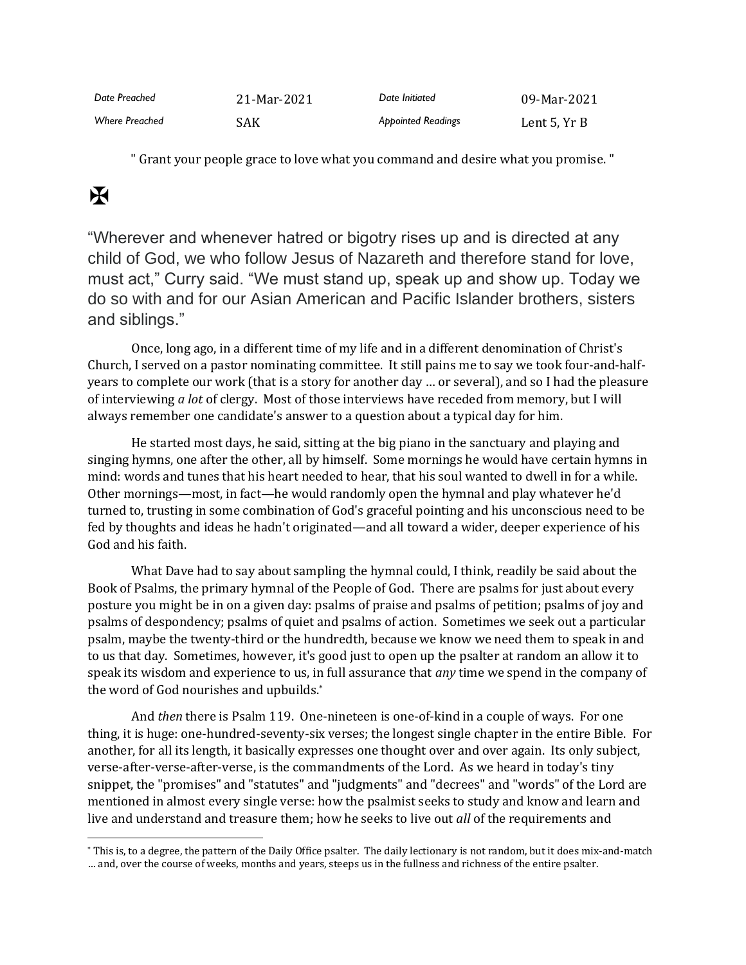| Date Preached         | 21-Mar-2021 | Date Initiated            | 09-Mar-2021  |
|-----------------------|-------------|---------------------------|--------------|
| <b>Where Preached</b> | SAK         | <b>Appointed Readings</b> | Lent 5, Yr B |

" Grant your people grace to love what you command and desire what you promise. "

## $\mathbf H$

"Wherever and whenever hatred or bigotry rises up and is directed at any child of God, we who follow Jesus of Nazareth and therefore stand for love, must act," Curry said. "We must stand up, speak up and show up. Today we do so with and for our Asian American and Pacific Islander brothers, sisters and siblings."

Once, long ago, in a different time of my life and in a different denomination of Christ's Church, I served on a pastor nominating committee. It still pains me to say we took four-and-halfyears to complete our work (that is a story for another day … or several), and so I had the pleasure of interviewing *a lot* of clergy. Most of those interviews have receded from memory, but I will always remember one candidate's answer to a question about a typical day for him.

He started most days, he said, sitting at the big piano in the sanctuary and playing and singing hymns, one after the other, all by himself. Some mornings he would have certain hymns in mind: words and tunes that his heart needed to hear, that his soul wanted to dwell in for a while. Other mornings—most, in fact—he would randomly open the hymnal and play whatever he'd turned to, trusting in some combination of God's graceful pointing and his unconscious need to be fed by thoughts and ideas he hadn't originated—and all toward a wider, deeper experience of his God and his faith.

What Dave had to say about sampling the hymnal could, I think, readily be said about the Book of Psalms, the primary hymnal of the People of God. There are psalms for just about every posture you might be in on a given day: psalms of praise and psalms of petition; psalms of joy and psalms of despondency; psalms of quiet and psalms of action. Sometimes we seek out a particular psalm, maybe the twenty-third or the hundredth, because we know we need them to speak in and to us that day. Sometimes, however, it's good just to open up the psalter at random an allow it to speak its wisdom and experience to us, in full assurance that *any* time we spend in the company of the word of God nourishes and upbuilds. \*

And *then* there is Psalm 119. One-nineteen is one-of-kind in a couple of ways. For one thing, it is huge: one-hundred-seventy-six verses; the longest single chapter in the entire Bible. For another, for all its length, it basically expresses one thought over and over again. Its only subject, verse-after-verse-after-verse, is the commandments of the Lord. As we heard in today's tiny snippet, the "promises" and "statutes" and "judgments" and "decrees" and "words" of the Lord are mentioned in almost every single verse: how the psalmist seeks to study and know and learn and live and understand and treasure them; how he seeks to live out *all* of the requirements and

<sup>\*</sup> This is, to a degree, the pattern of the Daily Office psalter. The daily lectionary is not random, but it does mix-and-match … and, over the course of weeks, months and years, steeps us in the fullness and richness of the entire psalter.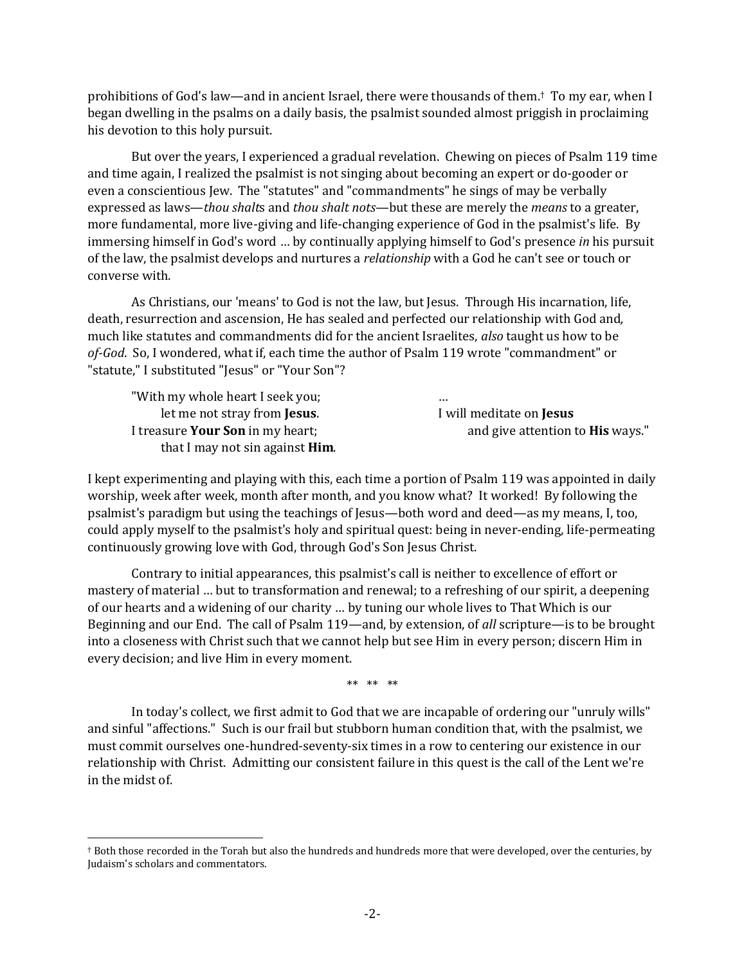prohibitions of God's law—and in ancient Israel, there were thousands of them. † To my ear, when I began dwelling in the psalms on a daily basis, the psalmist sounded almost priggish in proclaiming his devotion to this holy pursuit.

But over the years, I experienced a gradual revelation. Chewing on pieces of Psalm 119 time and time again, I realized the psalmist is not singing about becoming an expert or do-gooder or even a conscientious Jew. The "statutes" and "commandments" he sings of may be verbally expressed as laws—*thou shalt*s and *thou shalt nots*—but these are merely the *means* to a greater, more fundamental, more live-giving and life-changing experience of God in the psalmist's life. By immersing himself in God's word … by continually applying himself to God's presence *in* his pursuit of the law, the psalmist develops and nurtures a *relationship* with a God he can't see or touch or converse with.

As Christians, our 'means' to God is not the law, but Jesus. Through His incarnation, life, death, resurrection and ascension, He has sealed and perfected our relationship with God and*,*  much like statutes and commandments did for the ancient Israelites, *also* taught us how to be *of-God*. So, I wondered, what if, each time the author of Psalm 119 wrote "commandment" or "statute," I substituted "Jesus" or "Your Son"?

| "With my whole heart I seek you;        |                                         |
|-----------------------------------------|-----------------------------------------|
| let me not stray from <b>Jesus</b> .    | I will meditate on <b>Jesus</b>         |
| I treasure <b>Your Son</b> in my heart; | and give attention to <b>His</b> ways." |
| that I may not sin against <b>Him</b> . |                                         |

I kept experimenting and playing with this, each time a portion of Psalm 119 was appointed in daily worship, week after week, month after month, and you know what? It worked! By following the psalmist's paradigm but using the teachings of Jesus—both word and deed—as my means, I, too, could apply myself to the psalmist's holy and spiritual quest: being in never-ending, life-permeating continuously growing love with God, through God's Son Jesus Christ.

Contrary to initial appearances, this psalmist's call is neither to excellence of effort or mastery of material … but to transformation and renewal; to a refreshing of our spirit, a deepening of our hearts and a widening of our charity … by tuning our whole lives to That Which is our Beginning and our End. The call of Psalm 119—and, by extension, of *all* scripture—is to be brought into a closeness with Christ such that we cannot help but see Him in every person; discern Him in every decision; and live Him in every moment.

\*\* \*\* \*\*

In today's collect, we first admit to God that we are incapable of ordering our "unruly wills" and sinful "affections." Such is our frail but stubborn human condition that, with the psalmist, we must commit ourselves one-hundred-seventy-six times in a row to centering our existence in our relationship with Christ. Admitting our consistent failure in this quest is the call of the Lent we're in the midst of.

<sup>†</sup> Both those recorded in the Torah but also the hundreds and hundreds more that were developed, over the centuries, by Judaism's scholars and commentators.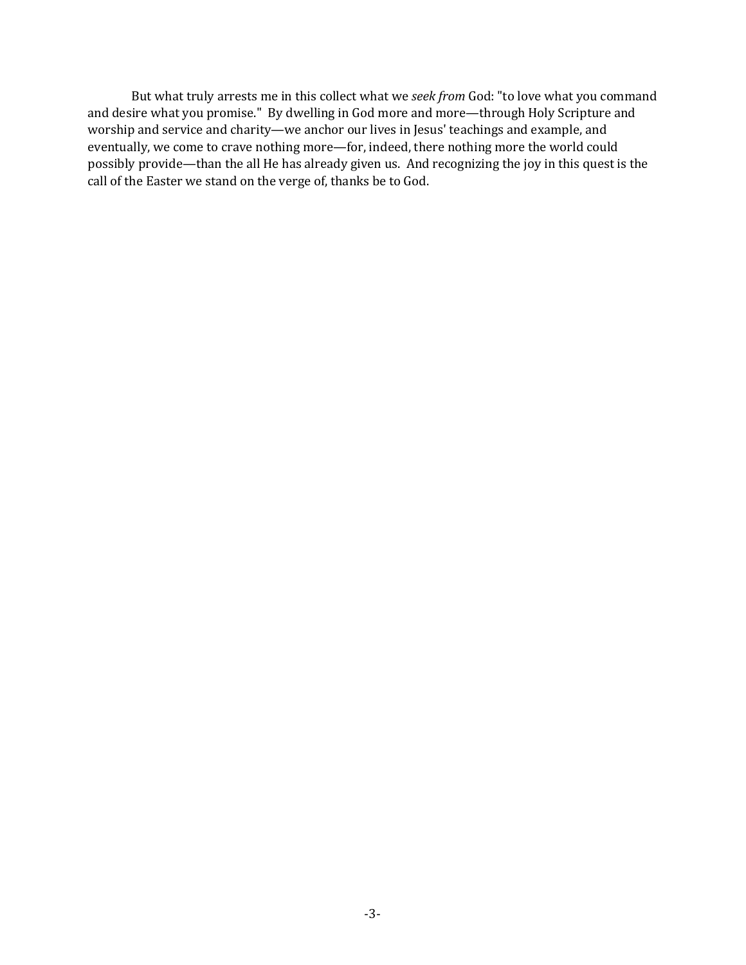But what truly arrests me in this collect what we *seek from* God: "to love what you command and desire what you promise." By dwelling in God more and more—through Holy Scripture and worship and service and charity—we anchor our lives in Jesus' teachings and example, and eventually, we come to crave nothing more—for, indeed, there nothing more the world could possibly provide—than the all He has already given us. And recognizing the joy in this quest is the call of the Easter we stand on the verge of, thanks be to God.